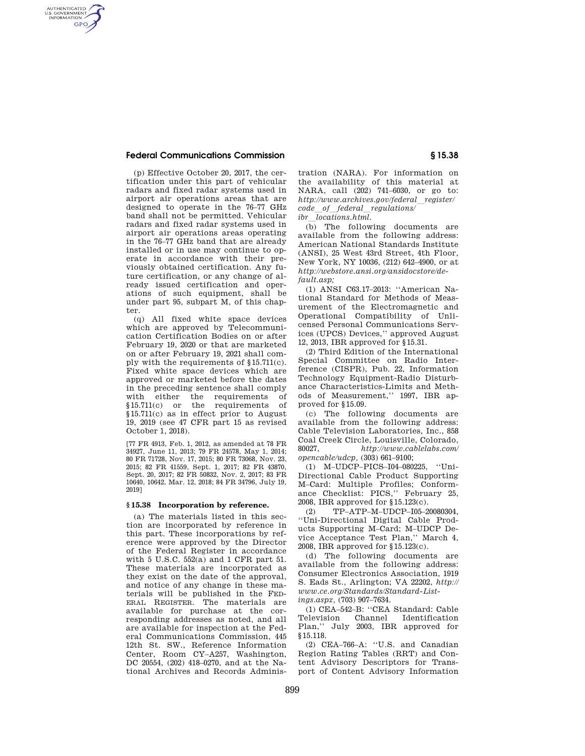## **Federal Communications Commission § 15.38**

AUTHENTICATED<br>U.S. GOVERNMENT<br>INFORMATION **GPO** 

> (p) Effective October 20, 2017, the certification under this part of vehicular radars and fixed radar systems used in airport air operations areas that are designed to operate in the 76–77 GHz band shall not be permitted. Vehicular radars and fixed radar systems used in airport air operations areas operating in the 76–77 GHz band that are already installed or in use may continue to operate in accordance with their previously obtained certification. Any future certification, or any change of already issued certification and operations of such equipment, shall be under part 95, subpart M, of this chapter.

> (q) All fixed white space devices which are approved by Telecommunication Certification Bodies on or after February 19, 2020 or that are marketed on or after February 19, 2021 shall comply with the requirements of §15.711(c). Fixed white space devices which are approved or marketed before the dates in the preceding sentence shall comply with either the requirements of §15.711(c) or the requirements of §15.711(c) as in effect prior to August 19, 2019 (see 47 CFR part 15 as revised October 1, 2018).

> [77 FR 4913, Feb. 1, 2012, as amended at 78 FR 34927, June 11, 2013; 79 FR 24578, May 1, 2014; 80 FR 71728, Nov. 17, 2015; 80 FR 73068, Nov. 23, 2015; 82 FR 41559, Sept. 1, 2017; 82 FR 43870, Sept. 20, 2017; 82 FR 50832, Nov. 2, 2017; 83 FR 10640, 10642, Mar. 12, 2018; 84 FR 34796, July 19, 2019]

#### **§ 15.38 Incorporation by reference.**

(a) The materials listed in this section are incorporated by reference in this part. These incorporations by reference were approved by the Director of the Federal Register in accordance with 5 U.S.C. 552(a) and 1 CFR part 51. These materials are incorporated as they exist on the date of the approval, and notice of any change in these materials will be published in the FED-ERAL REGISTER. The materials are available for purchase at the corresponding addresses as noted, and all are available for inspection at the Federal Communications Commission, 445 12th St. SW., Reference Information Center, Room CY–A257, Washington, DC 20554, (202) 418–0270, and at the National Archives and Records Administration (NARA). For information on the availability of this material at NARA, call (202) 741–6030, or go to: *http://www.archives.gov/federal*l*register/ code*l*of*l*federal*l*regulations/ ibr locations.html.* 

(b) The following documents are available from the following address: American National Standards Institute (ANSI), 25 West 43rd Street, 4th Floor, New York, NY 10036, (212) 642–4900, or at *http://webstore.ansi.org/ansidocstore/default.asp;* 

(1) ANSI C63.17–2013: ''American National Standard for Methods of Measurement of the Electromagnetic and Operational Compatibility of Unlicensed Personal Communications Services (UPCS) Devices,'' approved August 12, 2013, IBR approved for §15.31.

(2) Third Edition of the International Special Committee on Radio Interference (CISPR), Pub. 22, Information Technology Equipment-Radio Disturbance Characteristics-Limits and Methods of Measurement,'' 1997, IBR approved for §15.09.

(c) The following documents are available from the following address: Cable Television Laboratories, Inc., 858 Coal Creek Circle, Louisville, Colorado, 80027, *http://www.cablelabs.com/ opencable/udcp,* (303) 661–9100;

(1) M–UDCP–PICS–I04–080225, ''Uni-Directional Cable Product Supporting M–Card: Multiple Profiles; Conformance Checklist: PICS,'' February 25, 2008, IBR approved for §15.123(c).

(2) TP–ATP–M–UDCP–I05–20080304, ''Uni-Directional Digital Cable Products Supporting M–Card; M–UDCP Device Acceptance Test Plan,'' March 4, 2008, IBR approved for §15.123(c).

(d) The following documents are available from the following address: Consumer Electronics Association, 1919 S. Eads St., Arlington; VA 22202, *http:// www.ce.org/Standards/Standard-Listings.aspx,* (703) 907–7634.

(1) CEA–542–B: ''CEA Standard: Cable Television Channel Identification Plan,'' July 2003, IBR approved for §15.118.

(2) CEA–766–A: ''U.S. and Canadian Region Rating Tables (RRT) and Content Advisory Descriptors for Transport of Content Advisory Information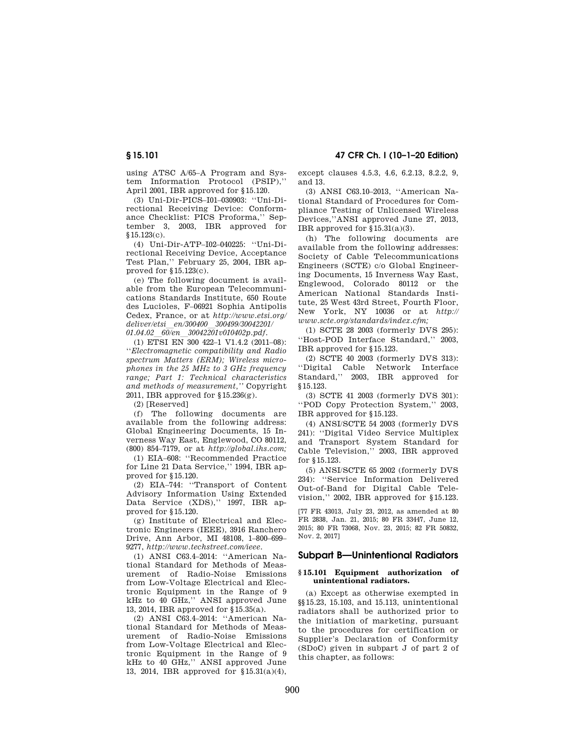using ATSC A/65–A Program and System Information Protocol (PSIP),'' April 2001, IBR approved for §15.120.

(3) Uni-Dir-PICS–I01–030903: ''Uni-Directional Receiving Device: Conformance Checklist: PICS Proforma,'' September 3, 2003, IBR approved for §15.123(c).

(4) Uni-Dir-ATP–I02–040225: ''Uni-Directional Receiving Device, Acceptance Test Plan,'' February 25, 2004, IBR approved for §15.123(c).

(e) The following document is available from the European Telecommunications Standards Institute, 650 Route des Lucioles, F–06921 Sophia Antipolis Cedex, France, or at *http://www.etsi.org/ deliver/etsi*l*en/300400*l*300499/30042201/ 01.04.02*l*60/en*l*30042201v010402p.pdf.* 

(1) ETSI EN 300 422–1 V1.4.2 (2011–08): ''*Electromagnetic compatibility and Radio spectrum Matters (ERM); Wireless microphones in the 25 MHz to 3 GHz frequency range; Part 1: Technical characteristics and methods of measurement,''* Copyright 2011, IBR approved for §15.236(g).

(2) [Reserved]

(f) The following documents are available from the following address: Global Engineering Documents, 15 Inverness Way East, Englewood, CO 80112, (800) 854–7179, or at *http://global.ihs.com;* 

(1) EIA–608: ''Recommended Practice for Line 21 Data Service,'' 1994, IBR approved for §15.120.

(2) EIA–744: ''Transport of Content Advisory Information Using Extended Data Service (XDS),'' 1997, IBR approved for §15.120.

(g) Institute of Electrical and Electronic Engineers (IEEE), 3916 Ranchero Drive, Ann Arbor, MI 48108, 1–800–699– 9277, *http://www.techstreet.com/ieee*.

(1) ANSI C63.4–2014: ''American National Standard for Methods of Measurement of Radio-Noise Emissions from Low-Voltage Electrical and Electronic Equipment in the Range of 9 kHz to 40 GHz,'' ANSI approved June 13, 2014, IBR approved for §15.35(a).

(2) ANSI C63.4–2014: ''American National Standard for Methods of Measurement of Radio-Noise Emissions from Low-Voltage Electrical and Electronic Equipment in the Range of 9 kHz to 40 GHz,'' ANSI approved June 13, 2014, IBR approved for §15.31(a)(4), except clauses 4.5.3, 4.6, 6.2.13, 8.2.2, 9, and 13.

(3) ANSI C63.10–2013, ''American National Standard of Procedures for Compliance Testing of Unlicensed Wireless Devices,''ANSI approved June 27, 2013, IBR approved for §15.31(a)(3).

(h) The following documents are available from the following addresses: Society of Cable Telecommunications Engineers (SCTE) c/o Global Engineering Documents, 15 Inverness Way East, Englewood, Colorado 80112 or the American National Standards Institute, 25 West 43rd Street, Fourth Floor, New York, NY 10036 or at *http:// www.scte.org/standards/index.cfm;* 

(1) SCTE 28 2003 (formerly DVS 295): ''Host-POD Interface Standard,'' 2003, IBR approved for §15.123.

(2) SCTE 40 2003 (formerly DVS 313): ''Digital Cable Network Interface Standard,'' 2003, IBR approved for §15.123.

(3) SCTE 41 2003 (formerly DVS 301): ''POD Copy Protection System,'' 2003, IBR approved for §15.123.

(4) ANSI/SCTE 54 2003 (formerly DVS 241): ''Digital Video Service Multiplex and Transport System Standard for Cable Television,'' 2003, IBR approved for §15.123.

(5) ANSI/SCTE 65 2002 (formerly DVS 234): ''Service Information Delivered Out-of-Band for Digital Cable Television,'' 2002, IBR approved for §15.123.

[77 FR 43013, July 23, 2012, as amended at 80 FR 2838, Jan. 21, 2015; 80 FR 33447, June 12, 2015; 80 FR 73068, Nov. 23, 2015; 82 FR 50832, Nov. 2, 2017]

# **Subpart B—Unintentional Radiators**

### **§ 15.101 Equipment authorization of unintentional radiators.**

(a) Except as otherwise exempted in §§15.23, 15.103, and 15.113, unintentional radiators shall be authorized prior to the initiation of marketing, pursuant to the procedures for certification or Supplier's Declaration of Conformity (SDoC) given in subpart J of part 2 of this chapter, as follows: